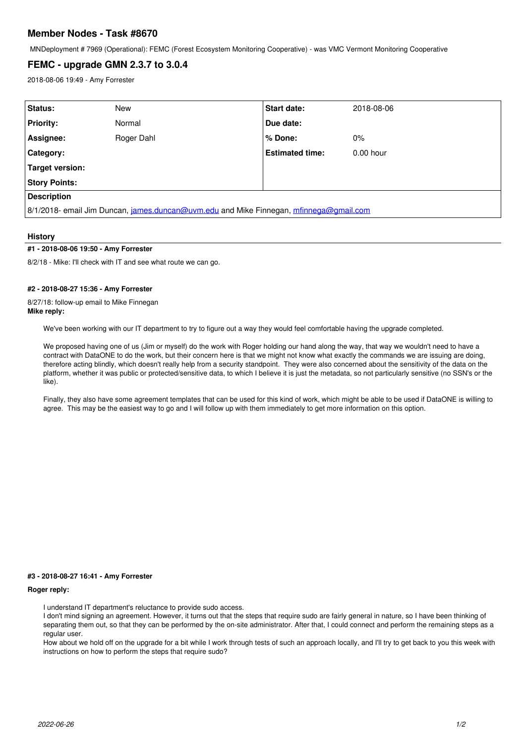# **Member Nodes - Task #8670**

MNDeployment # 7969 (Operational): FEMC (Forest Ecosystem Monitoring Cooperative) - was VMC Vermont Monitoring Cooperative

# **FEMC - upgrade GMN 2.3.7 to 3.0.4**

2018-08-06 19:49 - Amy Forrester

| Status:                                                                                | New        | <b>Start date:</b>     | 2018-08-06  |
|----------------------------------------------------------------------------------------|------------|------------------------|-------------|
| <b>Priority:</b>                                                                       | Normal     | Due date:              |             |
| Assignee:                                                                              | Roger Dahl | % Done:                | $0\%$       |
| Category:                                                                              |            | <b>Estimated time:</b> | $0.00$ hour |
| Target version:                                                                        |            |                        |             |
| <b>Story Points:</b>                                                                   |            |                        |             |
| <b>Description</b>                                                                     |            |                        |             |
| 8/1/2018- email Jim Duncan, james.duncan@uvm.edu and Mike Finnegan, mfinnega@gmail.com |            |                        |             |

#### **History**

## **#1 - 2018-08-06 19:50 - Amy Forrester**

8/2/18 - Mike: I'll check with IT and see what route we can go.

#### **#2 - 2018-08-27 15:36 - Amy Forrester**

8/27/18: follow-up email to Mike Finnegan **Mike reply:**

We've been working with our IT department to try to figure out a way they would feel comfortable having the upgrade completed.

We proposed having one of us (Jim or myself) do the work with Roger holding our hand along the way, that way we wouldn't need to have a contract with DataONE to do the work, but their concern here is that we might not know what exactly the commands we are issuing are doing, therefore acting blindly, which doesn't really help from a security standpoint. They were also concerned about the sensitivity of the data on the platform, whether it was public or protected/sensitive data, to which I believe it is just the metadata, so not particularly sensitive (no SSN's or the like).

Finally, they also have some agreement templates that can be used for this kind of work, which might be able to be used if DataONE is willing to agree. This may be the easiest way to go and I will follow up with them immediately to get more information on this option.

#### **#3 - 2018-08-27 16:41 - Amy Forrester**

### **Roger reply:**

I understand IT department's reluctance to provide sudo access.

I don't mind signing an agreement. However, it turns out that the steps that require sudo are fairly general in nature, so I have been thinking of separating them out, so that they can be performed by the on-site administrator. After that, I could connect and perform the remaining steps as a regular user.

How about we hold off on the upgrade for a bit while I work through tests of such an approach locally, and I'll try to get back to you this week with instructions on how to perform the steps that require sudo?